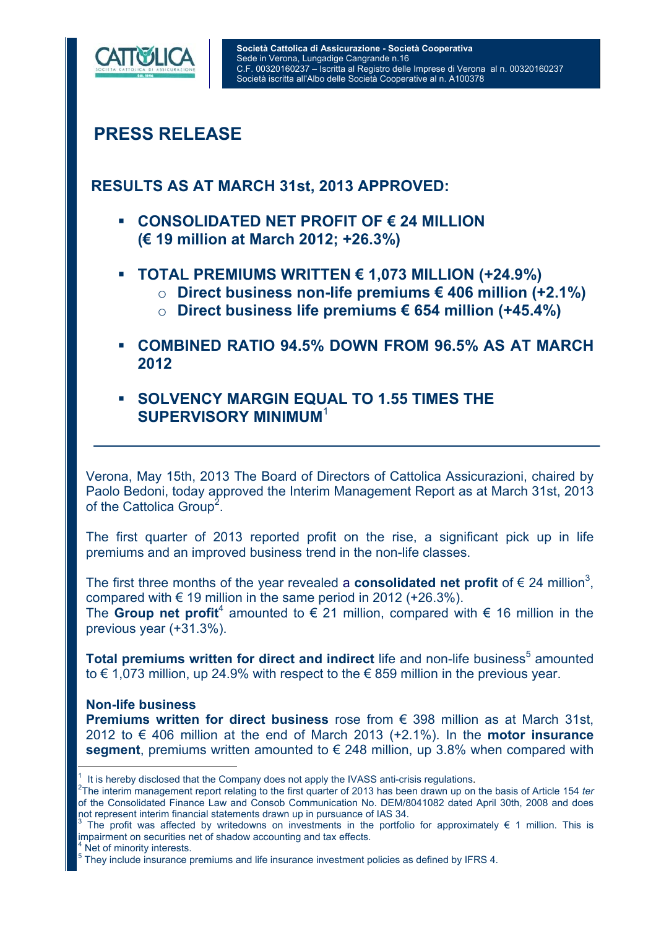

**PRESS RELEASE** 

# **RESULTS AS AT MARCH 31st, 2013 APPROVED:**

- **CONSOLIDATED NET PROFIT OF € 24 MILLION (€ 19 million at March 2012; +26.3%)**
- **TOTAL PREMIUMS WRITTEN € 1,073 MILLION (+24.9%)** 
	- o **Direct business non-life premiums € 406 million (+2.1%)**
	- o **Direct business life premiums € 654 million (+45.4%)**
- **COMBINED RATIO 94.5% DOWN FROM 96.5% AS AT MARCH 2012**
- **SOLVENCY MARGIN EQUAL TO 1.55 TIMES THE SUPERVISORY MINIMUM**<sup>1</sup>

Verona, May 15th, 2013 The Board of Directors of Cattolica Assicurazioni, chaired by Paolo Bedoni, today approved the Interim Management Report as at March 31st, 2013 of the Cattolica Group<sup>2</sup>.

The first quarter of 2013 reported profit on the rise, a significant pick up in life premiums and an improved business trend in the non-life classes.

The first three months of the year revealed a **consolidated net profit** of  $\epsilon$  24 million<sup>3</sup>, compared with  $\epsilon$  19 million in the same period in 2012 (+26.3%). The **Group net profit**<sup>4</sup> amounted to  $\epsilon$  21 million, compared with  $\epsilon$  16 million in the previous year (+31.3%).

Total premiums written for direct and indirect life and non-life business<sup>5</sup> amounted to  $\epsilon$  1,073 million, up 24.9% with respect to the  $\epsilon$  859 million in the previous year.

## **Non-life business**

**Premiums written for direct business** rose from € 398 million as at March 31st, 2012 to € 406 million at the end of March 2013 (+2.1%). In the **motor insurance segment**, premiums written amounted to € 248 million, up 3.8% when compared with

 $\overline{a}$ 

It is hereby disclosed that the Company does not apply the IVASS anti-crisis regulations.

The interim management report relating to the first quarter of 2013 has been drawn up on the basis of Article 154 *ter* of the Consolidated Finance Law and Consob Communication No. DEM/8041082 dated April 30th, 2008 and does not represent interim financial statements drawn up in pursuance of IAS 34.

The profit was affected by writedowns on investments in the portfolio for approximately  $\epsilon$  1 million. This is impairment on securities net of shadow accounting and tax effects.

<sup>4</sup> Net of minority interests.

<sup>5</sup> They include insurance premiums and life insurance investment policies as defined by IFRS 4.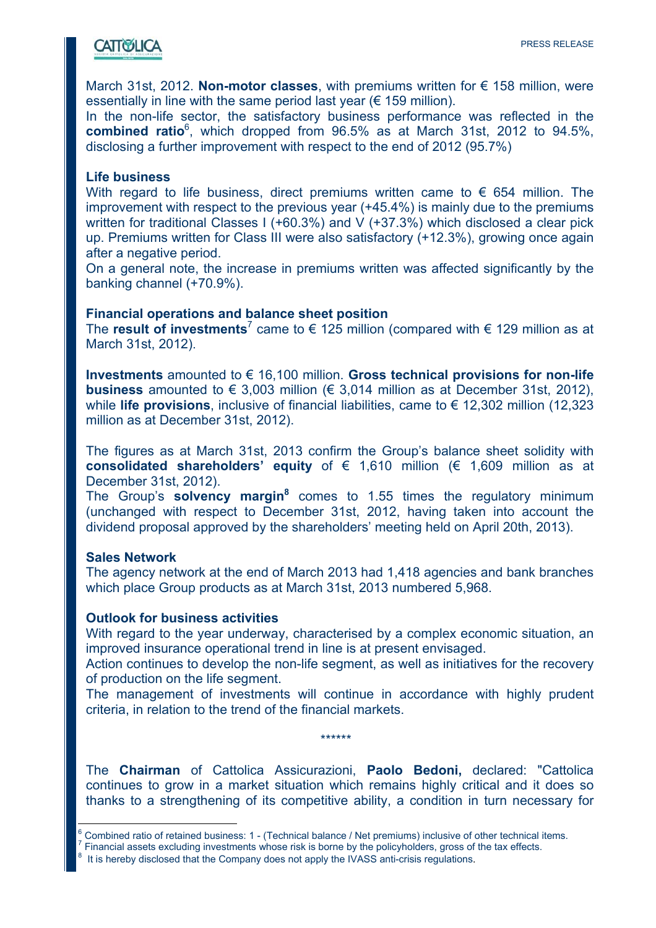# **CATTWELICA**

March 31st, 2012. **Non-motor classes**, with premiums written for € 158 million, were essentially in line with the same period last year ( $\epsilon$  159 million).

In the non-life sector, the satisfactory business performance was reflected in the **combined ratio**<sup>6</sup> , which dropped from 96.5% as at March 31st, 2012 to 94.5%, disclosing a further improvement with respect to the end of 2012 (95.7%)

## **Life business**

With regard to life business, direct premiums written came to  $\epsilon$  654 million. The improvement with respect to the previous year (+45.4%) is mainly due to the premiums written for traditional Classes I (+60.3%) and V (+37.3%) which disclosed a clear pick up. Premiums written for Class III were also satisfactory (+12.3%), growing once again after a negative period.

On a general note, the increase in premiums written was affected significantly by the banking channel (+70.9%).

## **Financial operations and balance sheet position**

The **result of investments**<sup>7</sup> came to € 125 million (compared with € 129 million as at March 31st, 2012).

**Investments** amounted to € 16,100 million. **Gross technical provisions for non-life business** amounted to  $\in$  3,003 million ( $\in$  3,014 million as at December 31st, 2012), while **life provisions**, inclusive of financial liabilities, came to € 12,302 million (12,323 million as at December 31st, 2012).

The figures as at March 31st, 2013 confirm the Group's balance sheet solidity with **consolidated shareholders' equity** of € 1,610 million (€ 1,609 million as at December 31st, 2012).

The Group's **solvency margin<sup>8</sup>** comes to 1.55 times the regulatory minimum (unchanged with respect to December 31st, 2012, having taken into account the dividend proposal approved by the shareholders' meeting held on April 20th, 2013).

## **Sales Network**

 $\overline{a}$ 

The agency network at the end of March 2013 had 1,418 agencies and bank branches which place Group products as at March 31st, 2013 numbered 5,968.

#### **Outlook for business activities**

With regard to the year underway, characterised by a complex economic situation, an improved insurance operational trend in line is at present envisaged.

Action continues to develop the non-life segment, as well as initiatives for the recovery of production on the life segment.

The management of investments will continue in accordance with highly prudent criteria, in relation to the trend of the financial markets.

\*\*\*\*\*\*

The **Chairman** of Cattolica Assicurazioni, **Paolo Bedoni,** declared: "Cattolica continues to grow in a market situation which remains highly critical and it does so thanks to a strengthening of its competitive ability, a condition in turn necessary for

<sup>6</sup> Combined ratio of retained business: 1 - (Technical balance / Net premiums) inclusive of other technical items. <sup>7</sup>

Financial assets excluding investments whose risk is borne by the policyholders, gross of the tax effects.

It is hereby disclosed that the Company does not apply the IVASS anti-crisis regulations.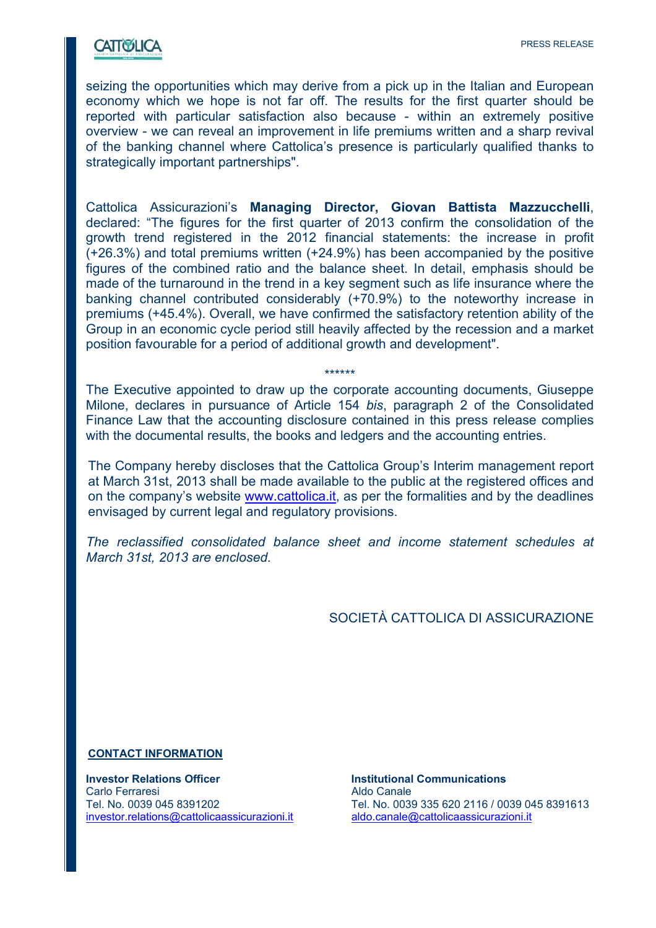# **CATTWELICA**

seizing the opportunities which may derive from a pick up in the Italian and European economy which we hope is not far off. The results for the first quarter should be reported with particular satisfaction also because - within an extremely positive overview - we can reveal an improvement in life premiums written and a sharp revival of the banking channel where Cattolica's presence is particularly qualified thanks to strategically important partnerships".

Cattolica Assicurazioni's **Managing Director, Giovan Battista Mazzucchelli**, declared: "The figures for the first quarter of 2013 confirm the consolidation of the growth trend registered in the 2012 financial statements: the increase in profit (+26.3%) and total premiums written (+24.9%) has been accompanied by the positive figures of the combined ratio and the balance sheet. In detail, emphasis should be made of the turnaround in the trend in a key segment such as life insurance where the banking channel contributed considerably (+70.9%) to the noteworthy increase in premiums (+45.4%). Overall, we have confirmed the satisfactory retention ability of the Group in an economic cycle period still heavily affected by the recession and a market position favourable for a period of additional growth and development".

The Executive appointed to draw up the corporate accounting documents, Giuseppe Milone, declares in pursuance of Article 154 *bis*, paragraph 2 of the Consolidated Finance Law that the accounting disclosure contained in this press release complies with the documental results, the books and ledgers and the accounting entries.

\*\*\*\*\*\*

The Company hereby discloses that the Cattolica Group's Interim management report at March 31st, 2013 shall be made available to the public at the registered offices and on the company's website www.cattolica.it, as per the formalities and by the deadlines envisaged by current legal and regulatory provisions.

*The reclassified consolidated balance sheet and income statement schedules at March 31st, 2013 are enclosed.* 

# SOCIETÀ CATTOLICA DI ASSICURAZIONE

#### **CONTACT INFORMATION**

**Investor Relations Officer Institutional Communications** Carlo Ferraresi **Aldo Canale** investor.relations@cattolicaassicurazioni.it aldo.canale@cattolicaassicurazioni.it

Tel. No. 0039 045 8391202 Tel. No. 0039 335 620 2116 / 0039 045 8391613